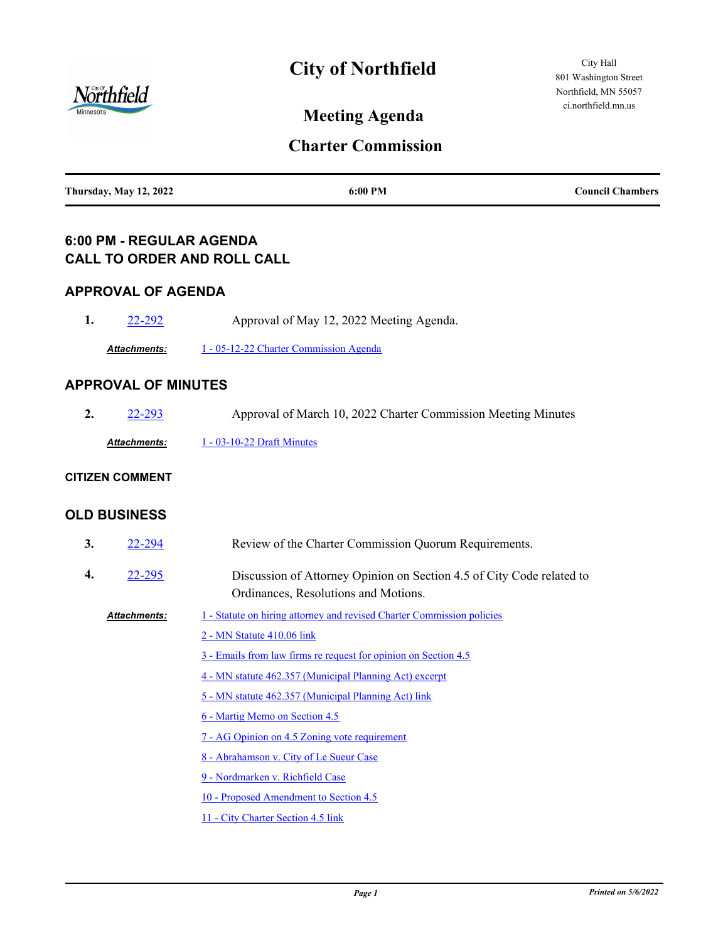

# **City of Northfield**

City Hall 801 Washington Street Northfield, MN 55057 ci.northfield.mn.us

**Meeting Agenda**

## **Charter Commission**

### **6:00 PM - REGULAR AGENDA CALL TO ORDER AND ROLL CALL**

#### **APPROVAL OF AGENDA**

| 22-292              | Approval of May 12, 2022 Meeting Agenda. |
|---------------------|------------------------------------------|
| <b>Attachments:</b> | 1 - 05-12-22 Charter Commission Agenda   |

#### **APPROVAL OF MINUTES**

| 22-293       | Approval of March 10, 2022 Charter Commission Meeting Minutes |  |
|--------------|---------------------------------------------------------------|--|
| Attachments: | $1 - 03 - 10 - 22$ Draft Minutes                              |  |

#### **CITIZEN COMMENT**

#### **OLD BUSINESS**

| 3. | 22-294              | Review of the Charter Commission Quorum Requirements.                                                         |  |
|----|---------------------|---------------------------------------------------------------------------------------------------------------|--|
| 4. | 22-295              | Discussion of Attorney Opinion on Section 4.5 of City Code related to<br>Ordinances, Resolutions and Motions. |  |
|    | <b>Attachments:</b> | 1 - Statute on hiring attorney and revised Charter Commission policies<br>2 - MN Statute 410.06 link          |  |
|    |                     | 3 - Emails from law firms re request for opinion on Section 4.5                                               |  |
|    |                     | 4 - MN statute 462.357 (Municipal Planning Act) excerpt                                                       |  |
|    |                     | 5 - MN statute 462.357 (Municipal Planning Act) link                                                          |  |
|    |                     | 6 - Martig Memo on Section 4.5                                                                                |  |
|    |                     | 7 - AG Opinion on 4.5 Zoning vote requirement                                                                 |  |
|    |                     | 8 - Abrahamson v. City of Le Sueur Case                                                                       |  |
|    |                     | 9 - Nordmarken v. Richfield Case                                                                              |  |
|    |                     | 10 - Proposed Amendment to Section 4.5                                                                        |  |
|    |                     | 11 - City Charter Section 4.5 link                                                                            |  |